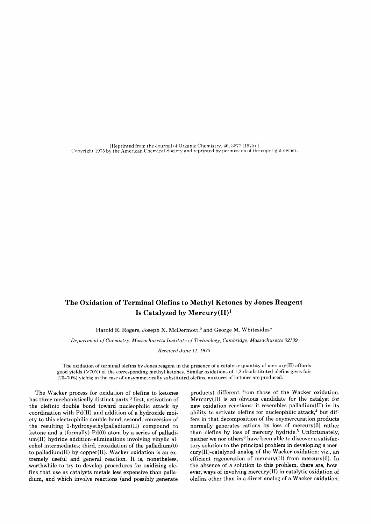[Reprinted from the Journal of Organic Chemistry, 40, 3577 (1975).] Copvright 19?5 by the American Chemical Societv and reprinted bv permission of the copyright owner.

# The Oxidation of Terminal Olefins to Methyl Ketones by Jones Reagent Is Catalyzed by Mercury $(H)^1$

Harold R. Rogers, Joseph X. McDermott,<sup>2</sup> and George M. Whitesides\*

Department of Chemistry, Massachusetts Institute of Technology, Cambridge, Massachusetts 02139

Received June 11, 1975

The oxidation of terminal olefins by Jones reagent in the presence of a catalytic quantity of mercury(II) affords good yields (>70%) of the corresponding methyl ketones. Similar oxidations of 1,2-disubstituted olefins gives fair (20-70%) yields; in the case of unsymmetrically substituted olefins, mixtures of ketones are produced.

The Wacker process for oxidation of olefins to ketones has three mechanistically distinct parts:<sup>3</sup> first, activation of the olefinic double bond toward nucleophilic attack by coordination with Pd(II) and addition of a hydroxide moiety to this electrophilic double bond; second, conversion of the resulting 2-hydroxyethylpalladium(Il) compound to ketone and a (formally)  $Pd(0)$  atom by a series of palladium(II) hydride addition-eliminations involving vinylic alcohol intermediates; third, reoxidation of the palladium(0) to palladium(Il) by copper(Il). Wacker oxidation is an extremely useful and general reaction. It is, nonetheless, worthwhile to try to develop procedures for oxidizing olefins that use as catalysts metals less expensive than palladium, and which involve reactions (and possibly generate

products) different from those of the Wacker oxidation. Mercury(Il) is an obvious candidate for the catalyst for new oxidation reactions: it resembles palladium(Il) in its ability to activate olefins for nucleophilic attack, $4$  but differs in that decomposition of the oxymercuration products normally generates cations by loss of mercury(0) rather than olefins by loss of mercury hydride.<sup>5</sup> Unfortunately, neither we nor others<sup>6</sup> have been able to discover a satisfactory solution to the principal problem in developing a mercury(II)-catalyzed analog of the Wacker oxidation: viz., an efficient regeneration of mercury $(II)$  from mercury $(0)$ . In the absence of a solution to this problem, there are, however, ways of involving mercury(II) in catalytic oxidation of olefins other than in a direct analog of a Wacker oxidation.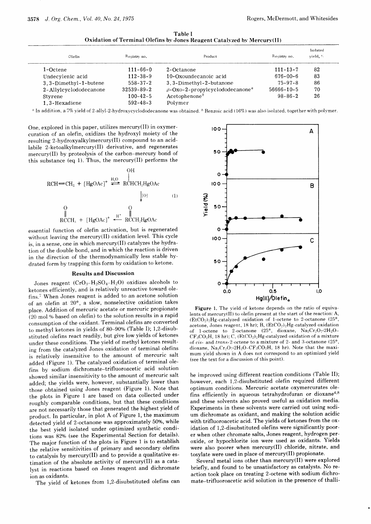Table I Oxidation of Terminal Olefins by Jones Reagent Catalvzed bv Mercury(II)

| Olefin                 | Registry no.   | Product                                           | Reqistry no.   | Isolated<br>yield, % |
|------------------------|----------------|---------------------------------------------------|----------------|----------------------|
| 1-Octene               | $111 - 66 - 0$ | 2-Octanone                                        | $111 - 13 - 7$ | 82                   |
| Undecylenic acid       | $112 - 38 - 9$ | 10-Oxoundecanoic acid                             | $676 - 00 - 6$ | 83                   |
| 3.3-Dimethyl-1-butene  | $558 - 37 - 2$ | 3, 3-Dimethyl-2-butanone                          | $75 - 97 - 8$  | 86                   |
| 2-Allylcyclododecanone | 32539-89-2     | $\beta$ -Oxo-2-propylcyclododecanone <sup>a</sup> | 56666-10-5     | 70                   |
| Styrene                | $100 - 42 - 5$ | Acceptenone <sup>b</sup>                          | $98 - 86 - 2$  | 26                   |
| 1.3-Hexadiene          | $592 - 48 - 3$ | Polymer                                           |                |                      |

<sup>a</sup> In addition, a 7% yield of 2-allyl-2-hydroxycyclododecanone was obtained. <sup>b</sup> Benzoic acid (16%) was also isolated, together with polymer.

One, explored in this paper, utilizes mercury(II) in oxymercuration of an olefin, oxidizes the hydroxyl moiety of the resulting 2-hydroxyalkylmercury(II) compound to an acidlabile 2-ketoalkylmercury(Il) derivative, and regenerates mercury(II) by proteolysis of the carbon-mercury bond of this substance (eq 1). Thus, the mercury(Il) performs the

$$
RCH = CH2 + [HgOAc]+ H2O HCHCH2HgOAc
$$
\n
$$
[O]
$$
\n
$$
[O]
$$
\n
$$
[O]
$$
\n
$$
[O]
$$
\n
$$
[O]
$$
\n
$$
[O]
$$
\n
$$
[O]
$$
\n
$$
[O]
$$
\n
$$
[O]
$$
\n
$$
[O]
$$
\n
$$
[O]
$$
\n
$$
[O]
$$
\n
$$
[O]
$$
\n
$$
[O]
$$
\n
$$
[O]
$$
\n
$$
[O]
$$
\n
$$
[O]
$$
\n
$$
[O]
$$
\n
$$
[O]
$$
\n
$$
[O]
$$
\n
$$
[O]
$$
\n
$$
[O]
$$
\n
$$
[O]
$$
\n
$$
[O]
$$
\n
$$
[O]
$$
\n
$$
[O]
$$
\n
$$
[O]
$$
\n
$$
[O]
$$
\n
$$
[O]
$$
\n
$$
[O]
$$
\n
$$
[O]
$$
\n
$$
[O]
$$

essential function of olefin activation, but is regenerated without leaving the mercury(II) oxidation level. This cycle is, in a sense, one in which mercury(Il) catalyzes the hydration of the double bond, and in which the reaction is driven in the direction of the thermodynamically less stable hydrated form by trapping this form by oxidation to ketone.

## Results and Discussion

Jones reagent  $(CrO_3-H_2SO_4-H_2O)$  oxidizes alcohols to ketones efficiently, and is relatively unreactive toward olefins.? When Jones reagent is added to an acetone solution of an olefin at 20", a slow, nonselective oxidation takes place. Addition of mercuric acetate or mercuric propionate  $(20 \text{ mol } \%$  based on olefin) to the solution results in a rapid consumption of the oxidant. Terminal olefins are converted to methyl ketones in yields of 80-90% (Table I); 1,2-disubstituted olefins react readily, but give low yields of ketones under these conditions. The yield of methyl ketones resulting from the catalyzed Jones oxidation of terminal olefins is relatively insensitive to the amount of mercuric salt added (Figure 1). The catalyzed oxidation of terminal olefins by sodium dichromate-trifluoroacetic acid solution showed similar insensitivity to the amount of mercuric salt added; the yields were, however, substantially lower than those obtained using Jones reagent (Figure 1). Note that the plots in Figure 1 are based on data collected under roughly comparable conditions, but that these conditions are not necessarily those that generated the highest yield of product. In particular, in plot A of Figure 1, the maximum detected yield of 2-octanone was approximately 50%, while the best yield isolated under optimized synthetic conditions was 82% (see the Experimental Section for details). The major function of the plots in Figure 1 is to establish the relative sensitivities of primary and secondary olefins to catalysis by mercury(Il) and to provide a qualitative estimation of the absolute activity of mercury(Il) as a catalyst in reactions based on Jones reagent and dichromate ion as oxidants.

The vield of ketones from 1,2-disubstituted olefins can



Figure 1. The vield of ketone depends on the ratio of equivalents of mercury(II) to olefin present at the start of the reaction: A,  $(EtCO<sub>2</sub>)<sub>2</sub>Hg-catalyzed oxidation of 1-octene to 2-octanone (25°,$ acetone, Jones reagent, 18 hr); B,  $(EtCO<sub>2</sub>)<sub>2</sub>Hg-catalyzed oxidation$ of 1-octene to 2-octanone (25°, dioxane,  $Na_2Cr_2O_7$ -2H<sub>2</sub>O- $CF_3CO_2H$ , 18 hr); C, (EtCO<sub>2</sub>)<sub>2</sub>Hg-catalyzed oxidation of a mixture of cis- and trans-2-octene to a mixture of 2- and 3-octanone (25 $^{\circ}$ , dioxane,  $Na_2Cr_2O_7.2H_2O-CF_3CO_2H$ , 18 hr). Note that the maximum yield shown in A does not correspond to an optimized yield (see the text for a discussion of this point).

be improved using different reaction conditions (Table II); however, each 1,2-disubstituted olefin required different optimum conditions. Mercuric acetate oxymercurates olefins efficiently in aqueous tetrahydrofuran or dioxane<sup>4,8</sup> and these solvents also proved useful as oxidation media. Experiments in these solvents were carried out using sodium dichromate as oxidant, and making the solution acidic with trifluoroacetic acid. The yields of ketones from the oxidation of 1,2-disubstituted olefins were significantly poorer when other chromate salts, Jones reagent, hydrogen peroxide, or hypochlorite ion were used as oxidants. Yields were also poorer when mercury(Il) chloride, nitrate, and tosylate were used in place of mercury(Il) propionate.

Several metal ions other than mercury(Il) were explored briefly, and found to be unsatisfactory as catalysts. No reaction took place on treating 2-octene with sodium dichromate-trifluoroacetic acid solution in the presence of thalli-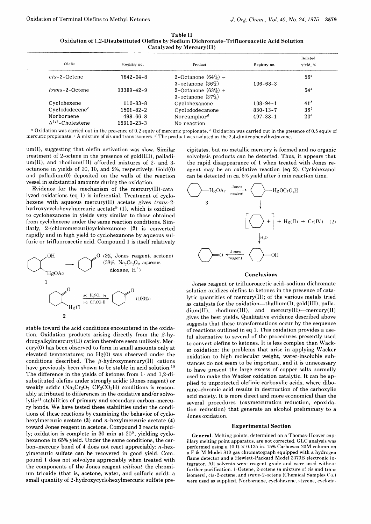| -Table II                                                                                 |
|-------------------------------------------------------------------------------------------|
| Oxidation of 1.2-Disubstituted Olefins by Sodium Dichromate-Trifluoroacetic Acid Solution |
| Catalyzed by Mercury(II)                                                                  |

| Olefin                     | Registry no.    | Product                              | Registry no.   | Isolated<br>yield, % |
|----------------------------|-----------------|--------------------------------------|----------------|----------------------|
| $cis-2$ -Octene            | $7642 - 04 - 8$ | 2-Octanone $(64\%) +$                |                | 56 <sup>a</sup>      |
|                            |                 | 3-octanone $(36\%)$                  | $106 - 68 - 3$ |                      |
| trans-2-Octene             | 13389-42-9      | 2-Octanone $(63\%) +$                |                | 54 <sup>a</sup>      |
|                            |                 | $3$ -octanone $(37\%)$               |                |                      |
| Cyclohexene                | $110 - 83 - 8$  | Cyclohexanone                        | $108 - 94 - 1$ | 41 <sup>b</sup>      |
| Cyclododecene <sup>c</sup> | $1501 - 82 - 2$ | Cyclododecanone                      | $830 - 13 - 7$ | 36 <sup>b</sup>      |
| Norbornene                 | $498 - 66 - 8$  | Norcamphor <sup><math>d</math></sup> | $497 - 38 - 1$ | 20 <sup>a</sup>      |
| $\Delta^{2+3}$ -Cholestene | 15910-23-3      | No reaction                          |                |                      |

<sup>a</sup> Oxidation was carried out in the presence of 0.2 equiv of mercuric propionate.  $\frac{b}{c}$  Oxidation was carried out in the presence of 0.5 equiv of mercuric propionate. <sup>c</sup> A mixture of cis and trans isomers. <sup>d</sup> The product was isolated as the 2,4-dinitrophenylhydrazone.

um(I), suggesting that olefin activation was slow. Similar treatment of 2-octene in the presence of gold(III), palladium(II), and rhodium(Ill) afforded mixtures of 2- and 3 octanone in yields of 30, 10, and 296, respectively. Gold(0) and palladium(0) deposited on the walls of the reaction vessel in substantial amounts during the oxidation.

Evidence for the mechanism of the mercury(Il)-catalyzed oxidations (eq 1) is inferential. Treatment of cyclohexene with aqueous mercury(Il) acetate gives trans-2 hydroxycyclohexylmercuric acetate<sup>9</sup> (1), which is oxidized to cyclohexanone in yields very similar to those obtained from cyclohexene under the same reaction conditions. Similarly, 2-(chloromercuri)cyclohexanone (2) is converted rapidly and in high yield to cyclohexanone by aqueous sulfuric or trifluoroacetic acid. Compound I is itself relatively



stable toward the acid conditions encountered in the oxidation. Oxidation products arising directly from the  $\beta$ -hydroxyalkylmercury(II) cation therefore seem unlikely. Mercury(0) has been observed to form in small amounts only at elevated temperatures; no Hg(0) was observed under the conditions described. The  $\beta$ -hydroxymercury(II) cations have previously been shown to be stable in acid solution.<sup>10</sup> The difference in the yields of ketones from 1- and 1,2-disubstituted olefins under strongly acidic (Jones reagent) or weakly acidic  $(Na_2Cr_2O_7-CF_3CO_2H)$  conditions is reasonably attributed to differences in the oxidative and/or solvolytic<sup>11</sup> stabilities of primary and secondary carbon-mercury bonds. We have tested these stabilities under the conditions of these reactions by examining the behavior of cyclohexylmercuric acetate  $(3)$  and *n*-hexylmercuric acetate  $(4)$ toward Jones reagent in acetone. Compound 3 reacts rapidly; oxidation is complete in 30 min at 20°, yielding cyclohexanone in 65% yield. Under the same conditions, the carbon-mercury bond of 4 does not react appreciably: n-hexylmercuric sulfate can be recovered in good yield. Compound I does not solvolyze appreciably when treated with the components of the Jones reagent without the chromium trioxide (that is, acetone, water, and sulfuric acid): a small quantity of 2-hydroxycyclohexylmercuric sulfate pre-

cipitates, but no metallic mercury is formed and no organic solvolysis products can be detected. Thus, it appears that the rapid disappearance of 1 when treated with Jones reagent may be an oxidative reaction (eq 2). Cyclohexanol can be detected in ca. 5% yield after 5 min reaction time.



### Conclusions

Jones reagent or trifluoroacetic acid-sodium dichromate solution oxidizes olefins to ketones in the presence of catalytic quantities of mercury(Il); of the various metals tried as catalysts for the oxidation-thallium $(I)$ , gold $(III)$ , palla $dium(II)$ , rhodium(III), and mercury(II)-mercury(II) gives the best yields. Qualitative evidence described above suggests that these transformations occur by the sequence of reactions outlined in eq 1. This oxidation provides a useful alternative to several of the procedures presently used to convert olefins to ketones. It is less complex than Wacker oxidation: the problems that arise in applying Wacker oxidation to high molecular weight, water-insoluble substances do not seem to be important, and it is unnecessary to have present the large excess of copper salts normally used to make the Wacker oxidation catalytic. It can be applied to unprotected olefinic carboxylic acids, where diborane-chromic acid results in destruction of the carboxylic acid moiety. It is more direct and more economical than the several procedures (oxymercuration-reduction, epoxidation-reduction) that generate an alcohol preliminary to a Jones oxidation.

### Experimental Section

General. Melting points, determined on a Thomas-Hoover capillary melting point apparatus, are not corrected. GLC analysis was performed using a 10 ft X 0.125 in. 15% Carbowax 20M column on a F & M Model 810 gas chromatograph equipped with a hydrogen flame detector and a Hewlett-Packard Model 33738 electronic integrator. All solvents were reagent grade and were used without further purification. 1-Octene, 2-octene (a mixture of cis and trans isomers), cis-2-octene, and trans-2-octene (Chemical Samples Co.) were used as supplied. Norbornene, cyclohexene, styrene, cyclodo